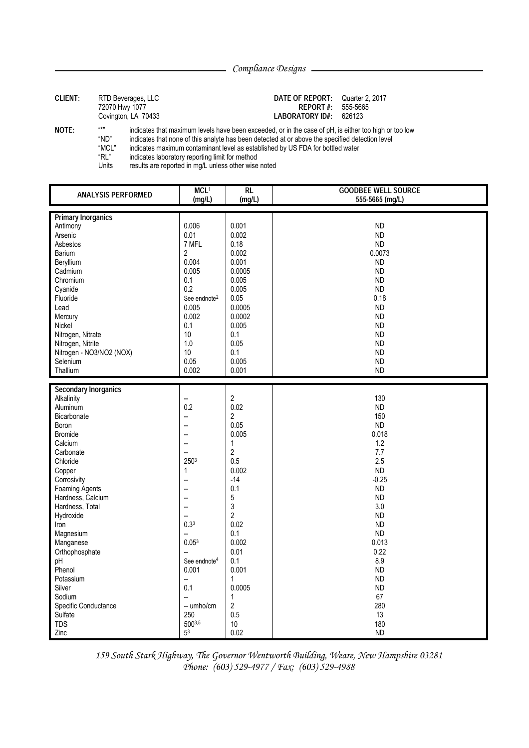Compliance Designs

| <b>CLIENT:</b> | 72070 Hwy 1077                                 | RTD Beverages, LLC<br>Covington, LA 70433                                                                                                                                                                                                                                                                                                                                                                                                  | DATE OF REPORT:<br>REPORT#:<br><b>LABORATORY ID#:</b> | Quarter 2, 2017<br>555-5665<br>626123 |
|----------------|------------------------------------------------|--------------------------------------------------------------------------------------------------------------------------------------------------------------------------------------------------------------------------------------------------------------------------------------------------------------------------------------------------------------------------------------------------------------------------------------------|-------------------------------------------------------|---------------------------------------|
| <b>NOTE:</b>   | 百大刀<br>"ND"<br>"MCL"<br>"RL"<br>11 July 14 Jul | indicates that maximum levels have been exceeded, or in the case of pH, is either too high or too low<br>indicates that none of this analyte has been detected at or above the specified detection level<br>indicates maximum contaminant level as established by US FDA for bottled water<br>indicates laboratory reporting limit for method<br>the contract of the state of the contract of the contract of the contract of the state of |                                                       |                                       |

results are reported in mg/L unless other wise noted Units

| <b>ANALYSIS PERFORMED</b>            | MCL <sup>1</sup><br>(mg/L) | $\overline{RL}$<br>(mg/L) | <b>GOODBEE WELL SOURCE</b><br>555-5665 (mg/L) |
|--------------------------------------|----------------------------|---------------------------|-----------------------------------------------|
| <b>Primary Inorganics</b>            |                            |                           |                                               |
| Antimony                             | 0.006                      | 0.001                     | <b>ND</b>                                     |
| Arsenic                              | 0.01                       | 0.002                     | <b>ND</b>                                     |
| Asbestos                             | 7 MFL                      | 0.18                      | <b>ND</b>                                     |
| <b>Barium</b>                        | $\overline{2}$             | 0.002                     | 0.0073                                        |
| Beryllium                            | 0.004                      | 0.001                     | <b>ND</b>                                     |
| Cadmium                              | 0.005                      | 0.0005                    | <b>ND</b>                                     |
| Chromium                             | 0.1                        | 0.005                     | <b>ND</b>                                     |
| Cyanide                              | 0.2                        | 0.005                     | <b>ND</b>                                     |
| Fluoride                             | See endnote <sup>2</sup>   | 0.05                      | 0.18                                          |
| Lead                                 | 0.005                      | 0.0005                    | <b>ND</b>                                     |
| Mercury                              | 0.002                      | 0.0002                    | <b>ND</b>                                     |
| Nickel                               | 0.1                        | 0.005                     | <b>ND</b>                                     |
| Nitrogen, Nitrate                    | 10                         | 0.1                       | <b>ND</b>                                     |
| Nitrogen, Nitrite                    | 1.0                        | 0.05                      | <b>ND</b>                                     |
| Nitrogen - NO3/NO2 (NOX)             | 10                         | 0.1                       | <b>ND</b>                                     |
| Selenium                             | 0.05                       | 0.005                     | <b>ND</b>                                     |
| Thallium                             | 0.002                      | 0.001                     | <b>ND</b>                                     |
| <b>Secondary Inorganics</b>          |                            |                           |                                               |
| Alkalinity                           | Ц.                         | $\overline{c}$            | 130                                           |
| Aluminum                             | 0.2                        | 0.02                      | <b>ND</b>                                     |
| <b>Bicarbonate</b>                   | Ξ.                         | 2                         | 150                                           |
| Boron                                | $\overline{a}$             | 0.05                      | <b>ND</b>                                     |
| <b>Bromide</b>                       | $\overline{a}$             | 0.005                     | 0.018                                         |
| Calcium                              | --                         | $\mathbf{1}$              | 1.2                                           |
| Carbonate                            | Ξ.                         | $\overline{c}$            | 7.7                                           |
| Chloride                             | 2503                       | 0.5                       | 2.5                                           |
| Copper                               | $\mathbf{1}$               | 0.002                     | <b>ND</b>                                     |
| Corrosivity                          | --                         | $-14$                     | $-0.25$                                       |
| <b>Foaming Agents</b>                | L.                         | 0.1                       | <b>ND</b><br><b>ND</b>                        |
| Hardness, Calcium<br>Hardness, Total | Ξ.<br>-−                   | 5<br>3                    | 3.0                                           |
| Hydroxide                            | --                         | $\overline{2}$            | <b>ND</b>                                     |
| Iron                                 | $0.3^{3}$                  | 0.02                      | <b>ND</b>                                     |
| Magnesium                            | $\sim$                     | 0.1                       | <b>ND</b>                                     |
| Manganese                            | 0.05 <sup>3</sup>          | 0.002                     | 0.013                                         |
| Orthophosphate                       | Ξ.                         | 0.01                      | 0.22                                          |
| рH                                   | See endnote <sup>4</sup>   | 0.1                       | 8.9                                           |
| Phenol                               | 0.001                      | 0.001                     | <b>ND</b>                                     |
| Potassium                            |                            | $\mathbf{1}$              | <b>ND</b>                                     |
| Silver                               | 0.1                        | 0.0005                    | <b>ND</b>                                     |
| Sodium                               | L.                         | $\mathbf{1}$              | 67                                            |
| Specific Conductance                 | -- umho/cm                 | $\overline{2}$            | 280                                           |
| Sulfate                              | 250                        | 0.5                       | 13                                            |
| <b>TDS</b>                           | 5003,5                     | 10                        | 180                                           |
| Zinc                                 | 5 <sup>3</sup>             | 0.02                      | <b>ND</b>                                     |

159 South Stark Highway, The Governor Wentworth Building, Weare, New Hampshire 03281 Phone: (603) 529-4977 / Fax: (603) 529-4988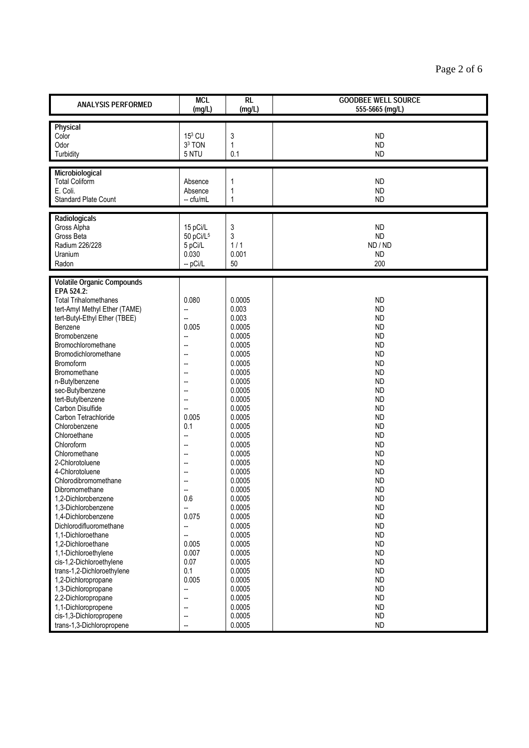| <b>ANALYSIS PERFORMED</b>                        | <b>MCL</b><br>(mg/L)              | $\overline{RL}$<br>(mg/L) | <b>GOODBEE WELL SOURCE</b><br>555-5665 (mg/L) |
|--------------------------------------------------|-----------------------------------|---------------------------|-----------------------------------------------|
| Physical<br>Color                                | 153 CU                            | 3                         | <b>ND</b>                                     |
| Odor                                             | 3 <sup>3</sup> TON                | 1                         | <b>ND</b>                                     |
| Turbidity                                        | 5 NTU                             | 0.1                       | <b>ND</b>                                     |
| Microbiological                                  |                                   |                           |                                               |
| <b>Total Coliform</b>                            | Absence                           | 1                         | <b>ND</b>                                     |
| E. Coli.<br><b>Standard Plate Count</b>          | Absence<br>-- cfu/mL              | 1<br>1                    | <b>ND</b>                                     |
|                                                  |                                   |                           | <b>ND</b>                                     |
| Radiologicals                                    |                                   |                           | <b>ND</b>                                     |
| Gross Alpha<br>Gross Beta                        | 15 pCi/L<br>50 pCi/L <sup>5</sup> | 3<br>3                    | <b>ND</b>                                     |
| Radium 226/228                                   | 5 pCi/L                           | 1/1                       | ND / ND                                       |
| Uranium                                          | 0.030                             | 0.001                     | <b>ND</b>                                     |
| Radon                                            | $-pCi/L$                          | 50                        | 200                                           |
| <b>Volatile Organic Compounds</b>                |                                   |                           |                                               |
| EPA 524.2:                                       |                                   |                           |                                               |
| <b>Total Trihalomethanes</b>                     | 0.080                             | 0.0005                    | <b>ND</b>                                     |
| tert-Amyl Methyl Ether (TAME)                    |                                   | 0.003                     | <b>ND</b>                                     |
| tert-Butyl-Ethyl Ether (TBEE)                    | --                                | 0.003                     | <b>ND</b>                                     |
| Benzene                                          | 0.005                             | 0.0005                    | <b>ND</b>                                     |
| Bromobenzene<br>Bromochloromethane               | --                                | 0.0005<br>0.0005          | <b>ND</b><br><b>ND</b>                        |
| Bromodichloromethane                             | --                                | 0.0005                    | <b>ND</b>                                     |
| Bromoform                                        |                                   | 0.0005                    | <b>ND</b>                                     |
| Bromomethane                                     |                                   | 0.0005                    | <b>ND</b>                                     |
| n-Butylbenzene                                   | --                                | 0.0005                    | <b>ND</b>                                     |
| sec-Butylbenzene                                 |                                   | 0.0005                    | <b>ND</b>                                     |
| tert-Butylbenzene                                |                                   | 0.0005                    | <b>ND</b>                                     |
| Carbon Disulfide<br>Carbon Tetrachloride         | --<br>0.005                       | 0.0005<br>0.0005          | <b>ND</b><br><b>ND</b>                        |
| Chlorobenzene                                    | 0.1                               | 0.0005                    | <b>ND</b>                                     |
| Chloroethane                                     | --                                | 0.0005                    | <b>ND</b>                                     |
| Chloroform                                       | $\sim$                            | 0.0005                    | <b>ND</b>                                     |
| Chloromethane                                    |                                   | 0.0005                    | <b>ND</b>                                     |
| 2-Chlorotoluene                                  |                                   | 0.0005                    | <b>ND</b>                                     |
| 4-Chlorotoluene                                  | --                                | 0.0005                    | <b>ND</b>                                     |
| Chlorodibromomethane<br>Dibromomethane           |                                   | 0.0005<br>0.0005          | <b>ND</b><br><b>ND</b>                        |
| 1,2-Dichlorobenzene                              | 0.6                               | 0.0005                    | <b>ND</b>                                     |
| 1,3-Dichlorobenzene                              |                                   | 0.0005                    | <b>ND</b>                                     |
| 1,4-Dichlorobenzene                              | 0.075                             | 0.0005                    | <b>ND</b>                                     |
| Dichlorodifluoromethane                          | --                                | 0.0005                    | <b>ND</b>                                     |
| 1,1-Dichloroethane                               | --                                | 0.0005                    | <b>ND</b>                                     |
| 1,2-Dichloroethane                               | 0.005                             | 0.0005                    | <b>ND</b>                                     |
| 1,1-Dichloroethylene<br>cis-1,2-Dichloroethylene | 0.007<br>0.07                     | 0.0005<br>0.0005          | <b>ND</b><br><b>ND</b>                        |
| trans-1,2-Dichloroethylene                       | 0.1                               | 0.0005                    | <b>ND</b>                                     |
| 1,2-Dichloropropane                              | 0.005                             | 0.0005                    | <b>ND</b>                                     |
| 1,3-Dichloropropane                              | <u></u>                           | 0.0005                    | <b>ND</b>                                     |
| 2,2-Dichloropropane                              |                                   | 0.0005                    | <b>ND</b>                                     |
| 1,1-Dichloropropene                              |                                   | 0.0005                    | <b>ND</b>                                     |
| cis-1,3-Dichloropropene                          | $\overline{a}$                    | 0.0005                    | <b>ND</b>                                     |
| trans-1,3-Dichloropropene                        |                                   | 0.0005                    | <b>ND</b>                                     |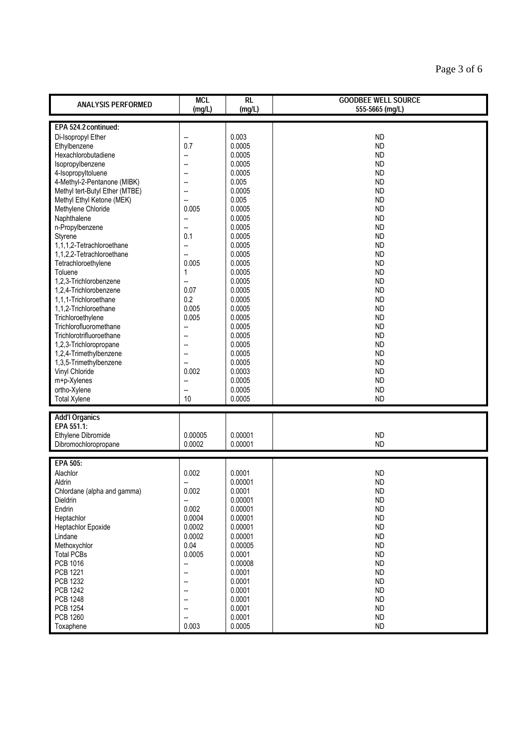| <b>ANALYSIS PERFORMED</b>           | <b>MCL</b><br>(mg/L) | $\overline{RL}$<br>(mg/L) | <b>GOODBEE WELL SOURCE</b><br>555-5665 (mg/L) |  |  |
|-------------------------------------|----------------------|---------------------------|-----------------------------------------------|--|--|
| EPA 524.2 continued:                |                      |                           |                                               |  |  |
| Di-Isopropyl Ether                  | --                   | 0.003                     | <b>ND</b>                                     |  |  |
| Ethylbenzene                        | 0.7                  | 0.0005                    | <b>ND</b>                                     |  |  |
| Hexachlorobutadiene                 | --                   | 0.0005                    | <b>ND</b>                                     |  |  |
| Isopropylbenzene                    | --                   | 0.0005                    | <b>ND</b>                                     |  |  |
| 4-Isopropyltoluene                  | --                   | 0.0005                    | <b>ND</b>                                     |  |  |
| 4-Methyl-2-Pentanone (MIBK)         |                      | 0.005                     | <b>ND</b>                                     |  |  |
| Methyl tert-Butyl Ether (MTBE)      | --                   | 0.0005                    | <b>ND</b>                                     |  |  |
| Methyl Ethyl Ketone (MEK)           | --                   | 0.005                     | <b>ND</b>                                     |  |  |
| Methylene Chloride                  | 0.005                | 0.0005                    | <b>ND</b>                                     |  |  |
| Naphthalene                         | --                   | 0.0005                    | <b>ND</b>                                     |  |  |
| n-Propylbenzene                     | Щ,                   | 0.0005                    | <b>ND</b>                                     |  |  |
| Styrene                             | 0.1                  | 0.0005                    | <b>ND</b>                                     |  |  |
| 1,1,1,2-Tetrachloroethane           | Щ,                   | 0.0005                    | <b>ND</b>                                     |  |  |
| 1,1,2,2-Tetrachloroethane           | Ξ.                   | 0.0005                    | <b>ND</b>                                     |  |  |
| Tetrachloroethylene                 | 0.005                | 0.0005                    | <b>ND</b>                                     |  |  |
| Toluene                             | 1                    | 0.0005                    | <b>ND</b>                                     |  |  |
| 1,2,3-Trichlorobenzene              | L.                   | 0.0005                    | <b>ND</b>                                     |  |  |
| 1,2,4-Trichlorobenzene              | 0.07                 | 0.0005                    | <b>ND</b>                                     |  |  |
| 1,1,1-Trichloroethane               | 0.2                  | 0.0005                    | <b>ND</b>                                     |  |  |
| 1,1,2-Trichloroethane               | 0.005                | 0.0005                    | <b>ND</b>                                     |  |  |
| Trichloroethylene                   | 0.005                | 0.0005                    | <b>ND</b>                                     |  |  |
| Trichlorofluoromethane              | --                   | 0.0005                    | <b>ND</b>                                     |  |  |
| Trichlorotrifluoroethane            | Щ,                   | 0.0005                    | <b>ND</b>                                     |  |  |
| 1,2,3-Trichloropropane              |                      | 0.0005                    | <b>ND</b>                                     |  |  |
| 1,2,4-Trimethylbenzene              | --                   | 0.0005                    | <b>ND</b>                                     |  |  |
| 1,3,5-Trimethylbenzene              | --                   | 0.0005                    | <b>ND</b>                                     |  |  |
| Vinyl Chloride                      | 0.002                | 0.0003<br>0.0005          | <b>ND</b>                                     |  |  |
| m+p-Xylenes<br>ortho-Xylene         | --<br>Щ,             | 0.0005                    | <b>ND</b><br><b>ND</b>                        |  |  |
| <b>Total Xylene</b>                 | 10                   | 0.0005                    | <b>ND</b>                                     |  |  |
|                                     |                      |                           |                                               |  |  |
| <b>Add'l Organics</b><br>EPA 551.1: |                      |                           |                                               |  |  |
| Ethylene Dibromide                  | 0.00005              | 0.00001                   | <b>ND</b>                                     |  |  |
| Dibromochloropropane                | 0.0002               | 0.00001                   | <b>ND</b>                                     |  |  |
|                                     |                      |                           |                                               |  |  |
| EPA 505:                            |                      |                           |                                               |  |  |
| Alachlor                            | 0.002                | 0.0001                    | <b>ND</b>                                     |  |  |
| Aldrin                              |                      | 0.00001                   | <b>ND</b>                                     |  |  |
| Chlordane (alpha and gamma)         | 0.002                | 0.0001                    | <b>ND</b>                                     |  |  |
| Dieldrin                            | --                   | 0.00001                   | <b>ND</b>                                     |  |  |
| Endrin<br>Heptachlor                | 0.002<br>0.0004      | 0.00001<br>0.00001        | <b>ND</b><br><b>ND</b>                        |  |  |
| <b>Heptachlor Epoxide</b>           | 0.0002               | 0.00001                   | <b>ND</b>                                     |  |  |
| Lindane                             | 0.0002               | 0.00001                   | <b>ND</b>                                     |  |  |
| Methoxychlor                        | 0.04                 | 0.00005                   | ND                                            |  |  |
| <b>Total PCBs</b>                   | 0.0005               | 0.0001                    | <b>ND</b>                                     |  |  |
| PCB 1016                            | -−                   | 0.00008                   | <b>ND</b>                                     |  |  |
| PCB 1221                            | --                   | 0.0001                    | <b>ND</b>                                     |  |  |
| PCB 1232                            | --                   | 0.0001                    | <b>ND</b>                                     |  |  |
| <b>PCB 1242</b>                     | --                   | 0.0001                    | <b>ND</b>                                     |  |  |
| <b>PCB 1248</b>                     | --                   | 0.0001                    | <b>ND</b>                                     |  |  |
| PCB 1254                            | --                   | 0.0001                    | <b>ND</b>                                     |  |  |
| PCB 1260                            |                      | 0.0001                    | <b>ND</b>                                     |  |  |
| Toxaphene                           | 0.003                | 0.0005                    | <b>ND</b>                                     |  |  |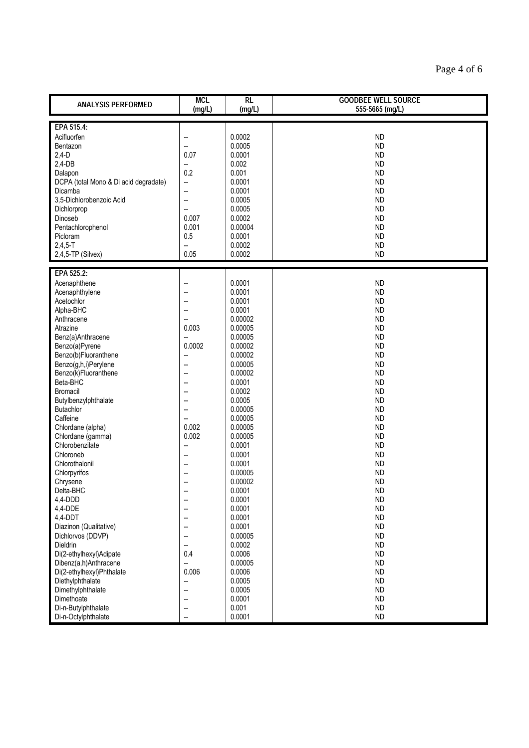| <b>ANALYSIS PERFORMED</b>                          | <b>MCL</b><br>(mg/L) | $\overline{RL}$<br>(mg/L) | <b>GOODBEE WELL SOURCE</b><br>555-5665 (mg/L) |  |
|----------------------------------------------------|----------------------|---------------------------|-----------------------------------------------|--|
| EPA 515.4:                                         |                      |                           |                                               |  |
| Acifluorfen                                        | --                   | 0.0002                    | <b>ND</b>                                     |  |
| Bentazon                                           | -−                   | 0.0005                    | <b>ND</b>                                     |  |
| $2,4-D$                                            | 0.07                 | 0.0001                    | <b>ND</b>                                     |  |
| $2,4-DB$                                           | ш,                   | 0.002                     | <b>ND</b>                                     |  |
| Dalapon                                            | 0.2                  | 0.001<br>0.0001           | <b>ND</b>                                     |  |
| DCPA (total Mono & Di acid degradate)<br>Dicamba   | Щ,<br>--             | 0.0001                    | <b>ND</b><br><b>ND</b>                        |  |
| 3,5-Dichlorobenzoic Acid                           | ÷.                   | 0.0005                    | <b>ND</b>                                     |  |
| Dichlorprop                                        | -−                   | 0.0005                    | <b>ND</b>                                     |  |
| Dinoseb                                            | 0.007                | 0.0002                    | <b>ND</b>                                     |  |
| Pentachlorophenol                                  | 0.001                | 0.00004                   | <b>ND</b>                                     |  |
| Picloram                                           | 0.5                  | 0.0001                    | <b>ND</b>                                     |  |
| $2,4,5 - T$                                        | --                   | 0.0002                    | <b>ND</b>                                     |  |
| 2,4,5-TP (Silvex)                                  | 0.05                 | 0.0002                    | <b>ND</b>                                     |  |
| EPA 525.2:                                         |                      |                           |                                               |  |
| Acenaphthene                                       | ц.                   | 0.0001                    | <b>ND</b>                                     |  |
| Acenaphthylene                                     | ц.                   | 0.0001                    | <b>ND</b>                                     |  |
| Acetochlor<br>Alpha-BHC                            |                      | 0.0001<br>0.0001          | <b>ND</b>                                     |  |
| Anthracene                                         | --<br>÷.             | 0.00002                   | <b>ND</b><br><b>ND</b>                        |  |
| Atrazine                                           | 0.003                | 0.00005                   | <b>ND</b>                                     |  |
| Benz(a)Anthracene                                  | ÷.                   | 0.00005                   | <b>ND</b>                                     |  |
| Benzo(a)Pyrene                                     | 0.0002               | 0.00002                   | <b>ND</b>                                     |  |
| Benzo(b)Fluoranthene                               | -−                   | 0.00002                   | <b>ND</b>                                     |  |
| Benzo(g,h,i)Perylene                               | ⊷                    | 0.00005                   | <b>ND</b>                                     |  |
| Benzo(k)Fluoranthene                               | $\overline{a}$       | 0.00002                   | <b>ND</b>                                     |  |
| Beta-BHC                                           | --                   | 0.0001                    | <b>ND</b>                                     |  |
| Bromacil<br>Butylbenzylphthalate                   | --                   | 0.0002<br>0.0005          | <b>ND</b><br><b>ND</b>                        |  |
| Butachlor                                          | Ξ.                   | 0.00005                   | <b>ND</b>                                     |  |
| Caffeine                                           | --                   | 0.00005                   | <b>ND</b>                                     |  |
| Chlordane (alpha)                                  | 0.002                | 0.00005                   | <b>ND</b>                                     |  |
| Chlordane (gamma)                                  | 0.002                | 0.00005                   | <b>ND</b>                                     |  |
| Chlorobenzilate                                    | ш,                   | 0.0001                    | <b>ND</b>                                     |  |
| Chloroneb                                          | --                   | 0.0001                    | <b>ND</b>                                     |  |
| Chlorothalonil                                     |                      | 0.0001                    | <b>ND</b>                                     |  |
| Chlorpyrifos<br>Chrysene                           | --                   | 0.00005<br>0.00002        | <b>ND</b><br><b>ND</b>                        |  |
| Delta-BHC                                          |                      | 0.0001                    | <b>ND</b>                                     |  |
| 4,4-DDD                                            | $\overline{a}$       | 0.0001                    | <b>ND</b>                                     |  |
| 4,4-DDE                                            | --                   | 0.0001                    | <b>ND</b>                                     |  |
| 4,4-DDT                                            | --                   | 0.0001                    | <b>ND</b>                                     |  |
| Diazinon (Qualitative)                             | --                   | 0.0001                    | <b>ND</b>                                     |  |
| Dichlorvos (DDVP)                                  | --                   | 0.00005                   | <b>ND</b>                                     |  |
| Dieldrin                                           | --                   | 0.0002                    | <b>ND</b>                                     |  |
| Di(2-ethylhexyl)Adipate                            | 0.4                  | 0.0006<br>0.00005         | <b>ND</b><br><b>ND</b>                        |  |
| Dibenz(a,h)Anthracene<br>Di(2-ethylhexyl)Phthalate | --<br>0.006          | 0.0006                    | <b>ND</b>                                     |  |
| Diethylphthalate                                   | --                   | 0.0005                    | <b>ND</b>                                     |  |
| Dimethylphthalate                                  | Ξ.                   | 0.0005                    | <b>ND</b>                                     |  |
| Dimethoate                                         | --                   | 0.0001                    | <b>ND</b>                                     |  |
| Di-n-Butylphthalate                                | --                   | 0.001                     | <b>ND</b>                                     |  |
| Di-n-Octylphthalate                                | --                   | 0.0001                    | <b>ND</b>                                     |  |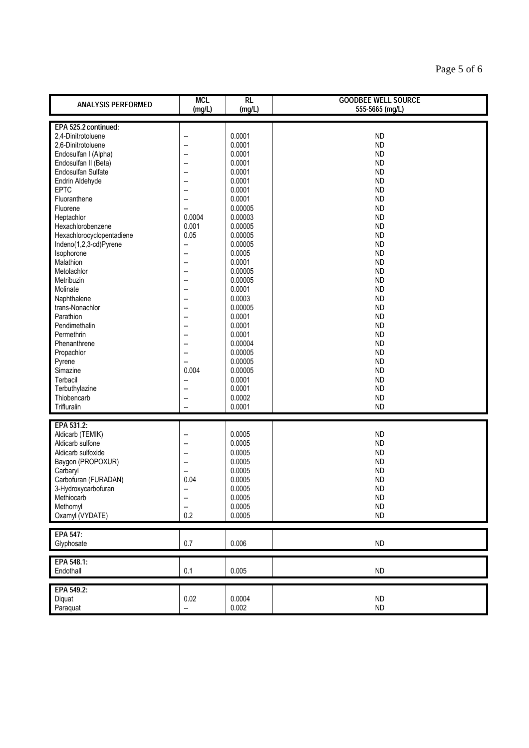| <b>ANALYSIS PERFORMED</b>                                                                                                                                                                                                                                                                                                                                                                                                                                               | <b>MCL</b><br>(mg/L)                                                                                                                                                                                                      | $\overline{RL}$<br>(mg/L)                                                                                                                                                                                                                                        | <b>GOODBEE WELL SOURCE</b><br>555-5665 (mg/L)                                                                                                                                                                                                                                                                                     |
|-------------------------------------------------------------------------------------------------------------------------------------------------------------------------------------------------------------------------------------------------------------------------------------------------------------------------------------------------------------------------------------------------------------------------------------------------------------------------|---------------------------------------------------------------------------------------------------------------------------------------------------------------------------------------------------------------------------|------------------------------------------------------------------------------------------------------------------------------------------------------------------------------------------------------------------------------------------------------------------|-----------------------------------------------------------------------------------------------------------------------------------------------------------------------------------------------------------------------------------------------------------------------------------------------------------------------------------|
|                                                                                                                                                                                                                                                                                                                                                                                                                                                                         |                                                                                                                                                                                                                           |                                                                                                                                                                                                                                                                  |                                                                                                                                                                                                                                                                                                                                   |
| EPA 525.2 continued:<br>2,4-Dinitrotoluene<br>2,6-Dinitrotoluene<br>Endosulfan I (Alpha)<br>Endosulfan II (Beta)<br>Endosulfan Sulfate<br>Endrin Aldehyde<br>EPTC<br>Fluoranthene<br>Fluorene<br>Heptachlor<br>Hexachlorobenzene<br>Hexachlorocyclopentadiene<br>Indeno(1,2,3-cd)Pyrene<br>Isophorone<br>Malathion<br>Metolachlor<br>Metribuzin<br>Molinate<br>Naphthalene<br>trans-Nonachlor<br>Parathion<br>Pendimethalin<br>Permethrin<br>Phenanthrene<br>Propachlor | -−<br>Ξ.<br>--<br>$\overline{\phantom{a}}$<br>$\overline{\phantom{a}}$<br>--<br>--<br>0.0004<br>0.001<br>0.05<br>--<br>$\overline{a}$<br>$\overline{a}$<br>--<br>--<br>--<br>Ξ.<br>--<br>--<br>--<br>$\overline{a}$<br>Ξ. | 0.0001<br>0.0001<br>0.0001<br>0.0001<br>0.0001<br>0.0001<br>0.0001<br>0.0001<br>0.00005<br>0.00003<br>0.00005<br>0.00005<br>0.00005<br>0.0005<br>0.0001<br>0.00005<br>0.00005<br>0.0001<br>0.0003<br>0.00005<br>0.0001<br>0.0001<br>0.0001<br>0.00004<br>0.00005 | <b>ND</b><br><b>ND</b><br><b>ND</b><br><b>ND</b><br><b>ND</b><br><b>ND</b><br><b>ND</b><br><b>ND</b><br><b>ND</b><br><b>ND</b><br><b>ND</b><br><b>ND</b><br><b>ND</b><br><b>ND</b><br><b>ND</b><br><b>ND</b><br><b>ND</b><br><b>ND</b><br><b>ND</b><br><b>ND</b><br><b>ND</b><br><b>ND</b><br><b>ND</b><br><b>ND</b><br><b>ND</b> |
| Pyrene<br>Simazine<br>Terbacil<br>Terbuthylazine<br>Thiobencarb<br>Trifluralin                                                                                                                                                                                                                                                                                                                                                                                          | Ц.<br>0.004<br>$\overline{\phantom{a}}$<br>Ξ.<br>--                                                                                                                                                                       | 0.00005<br>0.00005<br>0.0001<br>0.0001<br>0.0002<br>0.0001                                                                                                                                                                                                       | <b>ND</b><br><b>ND</b><br><b>ND</b><br><b>ND</b><br><b>ND</b><br><b>ND</b>                                                                                                                                                                                                                                                        |
|                                                                                                                                                                                                                                                                                                                                                                                                                                                                         |                                                                                                                                                                                                                           |                                                                                                                                                                                                                                                                  |                                                                                                                                                                                                                                                                                                                                   |
| EPA 531.2:<br>Aldicarb (TEMIK)<br>Aldicarb sulfone<br>Aldicarb sulfoxide<br>Baygon (PROPOXUR)<br>Carbaryl<br>Carbofuran (FURADAN)<br>3-Hydroxycarbofuran<br>Methiocarb<br>Methomyl<br>Oxamyl (VYDATE)                                                                                                                                                                                                                                                                   | --<br>--<br>۵.<br>--<br>÷.<br>0.04<br>⊷<br>$\overline{\phantom{a}}$<br>0.2                                                                                                                                                | 0.0005<br>0.0005<br>0.0005<br>0.0005<br>0.0005<br>0.0005<br>0.0005<br>0.0005<br>0.0005<br>0.0005                                                                                                                                                                 | <b>ND</b><br><b>ND</b><br><b>ND</b><br><b>ND</b><br><b>ND</b><br><b>ND</b><br><b>ND</b><br><b>ND</b><br>ND<br><b>ND</b>                                                                                                                                                                                                           |
| EPA 547:<br>Glyphosate                                                                                                                                                                                                                                                                                                                                                                                                                                                  | 0.7                                                                                                                                                                                                                       | 0.006                                                                                                                                                                                                                                                            | <b>ND</b>                                                                                                                                                                                                                                                                                                                         |
| EPA 548.1:<br>Endothall                                                                                                                                                                                                                                                                                                                                                                                                                                                 | $0.1\,$                                                                                                                                                                                                                   | 0.005                                                                                                                                                                                                                                                            | ND                                                                                                                                                                                                                                                                                                                                |
| EPA 549.2:<br>Diquat<br>Paraquat                                                                                                                                                                                                                                                                                                                                                                                                                                        | 0.02<br>--                                                                                                                                                                                                                | 0.0004<br>0.002                                                                                                                                                                                                                                                  | ND<br>ND                                                                                                                                                                                                                                                                                                                          |